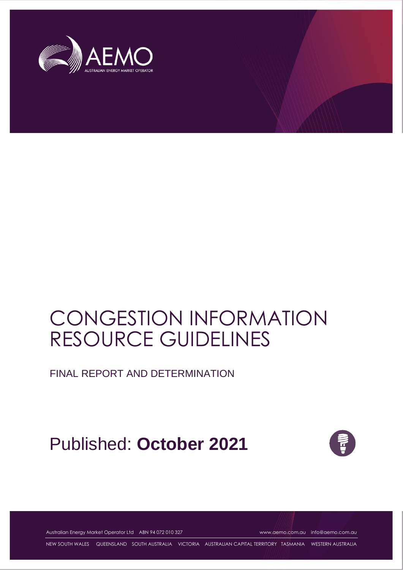

# CONGESTION INFORMATION RESOURCE GUIDELINES

FINAL REPORT AND DETERMINATION

## Published: **October 2021**



Australian Energy Market Operator Ltd ABN 94 072 010 327 [www.aemo.com.au](http://www.aemo.com.au/) [info@aemo.com.au](mailto:info@aemo.com.au)

NEW SOUTH WALES QUEENSLAND SOUTH AUSTRALIA VICTORIA AUSTRALIAN CAPITAL TERRITORY TASMANIA WESTERN AUSTRALIA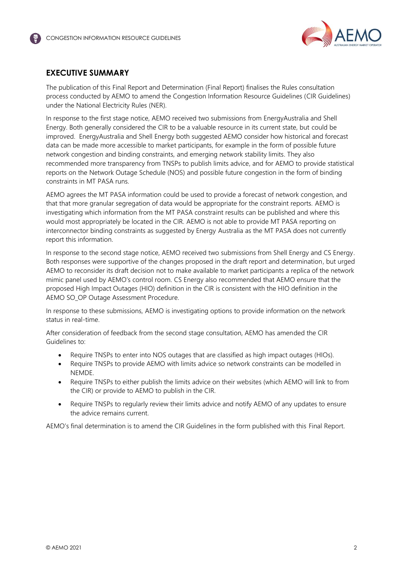

## <span id="page-1-0"></span>**EXECUTIVE SUMMARY**

The publication of this Final Report and Determination (Final Report) finalises the Rules consultation process conducted by AEMO to amend the Congestion Information Resource Guidelines (CIR Guidelines) under the National Electricity Rules (NER).

In response to the first stage notice, AEMO received two submissions from EnergyAustralia and Shell Energy. Both generally considered the CIR to be a valuable resource in its current state, but could be improved. EnergyAustralia and Shell Energy both suggested AEMO consider how historical and forecast data can be made more accessible to market participants, for example in the form of possible future network congestion and binding constraints, and emerging network stability limits. They also recommended more transparency from TNSPs to publish limits advice, and for AEMO to provide statistical reports on the Network Outage Schedule (NOS) and possible future congestion in the form of binding constraints in MT PASA runs.

AEMO agrees the MT PASA information could be used to provide a forecast of network congestion, and that that more granular segregation of data would be appropriate for the constraint reports. AEMO is investigating which information from the MT PASA constraint results can be published and where this would most appropriately be located in the CIR. AEMO is not able to provide MT PASA reporting on interconnector binding constraints as suggested by Energy Australia as the MT PASA does not currently report this information.

In response to the second stage notice, AEMO received two submissions from Shell Energy and CS Energy. Both responses were supportive of the changes proposed in the draft report and determination, but urged AEMO to reconsider its draft decision not to make available to market participants a replica of the network mimic panel used by AEMO's control room. CS Energy also recommended that AEMO ensure that the proposed High Impact Outages (HIO) definition in the CIR is consistent with the HIO definition in the AEMO SO\_OP Outage Assessment Procedure.

In response to these submissions, AEMO is investigating options to provide information on the network status in real-time.

After consideration of feedback from the second stage consultation, AEMO has amended the CIR Guidelines to:

- Require TNSPs to enter into NOS outages that are classified as high impact outages (HIOs).
- Require TNSPs to provide AEMO with limits advice so network constraints can be modelled in NEMDE.
- Require TNSPs to either publish the limits advice on their websites (which AEMO will link to from the CIR) or provide to AEMO to publish in the CIR.
- Require TNSPs to regularly review their limits advice and notify AEMO of any updates to ensure the advice remains current.

AEMO's final determination is to amend the CIR Guidelines in the form published with this Final Report.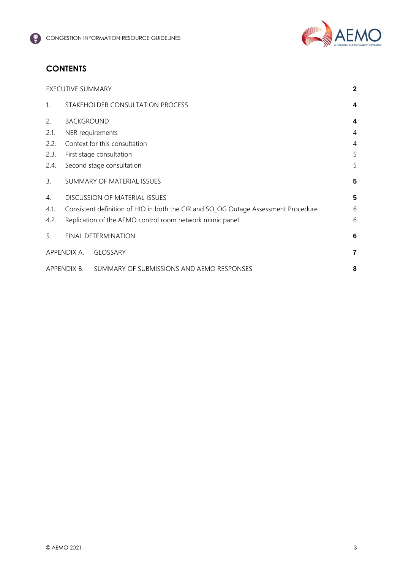

## **CONTENTS**

|              | <b>EXECUTIVE SUMMARY</b>                                                           |                                                          |                |
|--------------|------------------------------------------------------------------------------------|----------------------------------------------------------|----------------|
| $\mathbf{1}$ |                                                                                    | STAKEHOLDER CONSULTATION PROCESS                         | 4              |
| 2.           | <b>BACKGROUND</b>                                                                  |                                                          | 4              |
| 2.1.         | NER requirements                                                                   |                                                          | $\overline{4}$ |
| 2.2.         | Context for this consultation                                                      |                                                          |                |
| 2.3.         |                                                                                    | First stage consultation                                 | 5              |
| 2.4.         | Second stage consultation                                                          |                                                          |                |
| 3.           |                                                                                    | SUMMARY OF MATERIAL ISSUES                               | 5              |
| 4.           | <b>DISCUSSION OF MATERIAL ISSUES</b><br>5                                          |                                                          |                |
| 4.1.         | Consistent definition of HIO in both the CIR and SO_OG Outage Assessment Procedure |                                                          |                |
| 4.2.         |                                                                                    | Replication of the AEMO control room network mimic panel | 6              |
| 5.           |                                                                                    | FINAL DETERMINATION                                      | 6              |
|              | APPENDIX A.                                                                        | <b>GLOSSARY</b>                                          | 7              |
| APPENDIX B.  |                                                                                    | SUMMARY OF SUBMISSIONS AND AEMO RESPONSES                | 8              |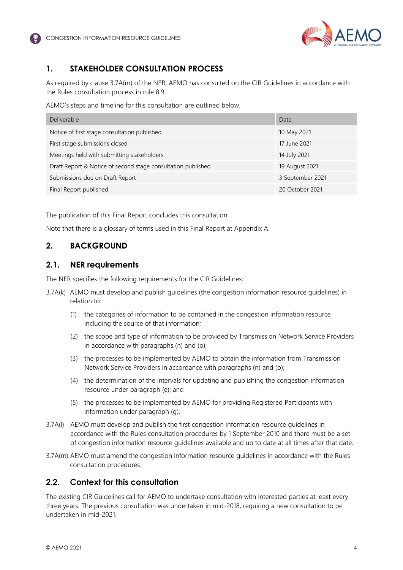

## <span id="page-3-0"></span>**1. STAKEHOLDER CONSULTATION PROCESS**

As required by clause 3.7A(m) of the NER, AEMO has consulted on the CIR Guidelines in accordance with the Rules consultation process in rule 8.9.

AEMO's steps and timeline for this consultation are outlined below.

| Deliverable                                                  | Date             |
|--------------------------------------------------------------|------------------|
| Notice of first stage consultation published                 | 10 May 2021      |
| First stage submissions closed                               | 17 June 2021     |
| Meetings held with submitting stakeholders                   | 14 July 2021     |
| Draft Report & Notice of second stage consultation published | 19 August 2021   |
| Submissions due on Draft Report                              | 3 September 2021 |
| Final Report published                                       | 20 October 2021  |

The publication of this Final Report concludes this consultation.

Note that there is a glossary of terms used in this Final Report at Appendix A.

### <span id="page-3-1"></span>**2. BACKGROUND**

#### <span id="page-3-2"></span>**2.1. NER requirements**

The NER specifies the following requirements for the CIR Guidelines:

- 3.7A(k) AEMO must develop and publish guidelines (the congestion information resource guidelines) in relation to:
	- (1) the categories of information to be contained in the congestion information resource including the source of that information;
	- (2) the scope and type of information to be provided by Transmission Network Service Providers in accordance with paragraphs (n) and (o);
	- (3) the processes to be implemented by AEMO to obtain the information from Transmission Network Service Providers in accordance with paragraphs (n) and (o);
	- (4) the determination of the intervals for updating and publishing the congestion information resource under paragraph (e); and
	- (5) the processes to be implemented by AEMO for providing Registered Participants with information under paragraph (g).
- 3.7A(l) AEMO must develop and publish the first congestion information resource guidelines in accordance with the Rules consultation procedures by 1 September 2010 and there must be a set of congestion information resource guidelines available and up to date at all times after that date.
- 3.7A(m) AEMO must amend the congestion information resource guidelines in accordance with the Rules consultation procedures.

### <span id="page-3-3"></span>**2.2. Context for this consultation**

The existing CIR Guidelines call for AEMO to undertake consultation with interested parties at least every three years. The previous consultation was undertaken in mid-2018, requiring a new consultation to be undertaken in mid-2021.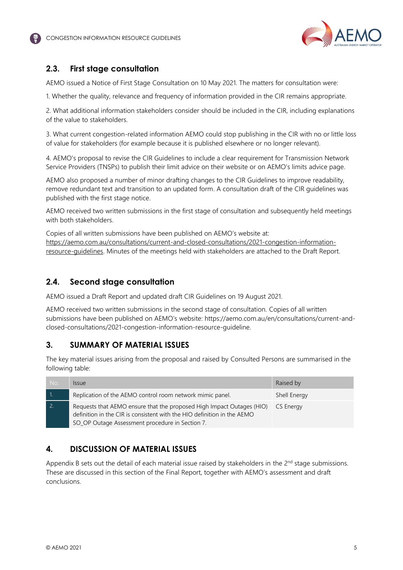

## <span id="page-4-0"></span>**2.3. First stage consultation**

AEMO issued a Notice of First Stage Consultation on 10 May 2021. The matters for consultation were:

1. Whether the quality, relevance and frequency of information provided in the CIR remains appropriate.

2. What additional information stakeholders consider should be included in the CIR, including explanations of the value to stakeholders.

3. What current congestion-related information AEMO could stop publishing in the CIR with no or little loss of value for stakeholders (for example because it is published elsewhere or no longer relevant).

4. AEMO's proposal to revise the CIR Guidelines to include a clear requirement for Transmission Network Service Providers (TNSPs) to publish their limit advice on their website or on AEMO's limits advice page.

AEMO also proposed a number of minor drafting changes to the CIR Guidelines to improve readability, remove redundant text and transition to an updated form. A consultation draft of the CIR guidelines was published with the first stage notice.

AEMO received two written submissions in the first stage of consultation and subsequently held meetings with both stakeholders.

Copies of all written submissions have been published on AEMO's website at: [https://aemo.com.au/consultations/current-and-closed-consultations/2021-congestion-information](https://aemo.com.au/consultations/current-and-closed-consultations/2021-congestion-information-resource-guidelines)[resource-guidelines.](https://aemo.com.au/consultations/current-and-closed-consultations/2021-congestion-information-resource-guidelines) Minutes of the meetings held with stakeholders are attached to the Draft Report.

### <span id="page-4-1"></span>**2.4. Second stage consultation**

AEMO issued a Draft Report and updated draft CIR Guidelines on 19 August 2021.

AEMO received two written submissions in the second stage of consultation. Copies of all written submissions have been published on AEMO's website: https://aemo.com.au/en/consultations/current-andclosed-consultations/2021-congestion-information-resource-guideline.

### <span id="page-4-2"></span>**3. SUMMARY OF MATERIAL ISSUES**

The key material issues arising from the proposal and raised by Consulted Persons are summarised in the following table:

| No. | <i><u><b>Issue</b></u></i>                                                                                                                                                                          | Raised by    |
|-----|-----------------------------------------------------------------------------------------------------------------------------------------------------------------------------------------------------|--------------|
|     | Replication of the AEMO control room network mimic panel.                                                                                                                                           | Shell Energy |
|     | Requests that AEMO ensure that the proposed High Impact Outages (HIO)<br>definition in the CIR is consistent with the HIO definition in the AEMO<br>SO_OP Outage Assessment procedure in Section 7. | CS Energy    |

## <span id="page-4-3"></span>**4. DISCUSSION OF MATERIAL ISSUES**

Appendix B sets out the detail of each material issue raised by stakeholders in the  $2^{nd}$  stage submissions. These are discussed in this section of the Final Report, together with AEMO's assessment and draft conclusions.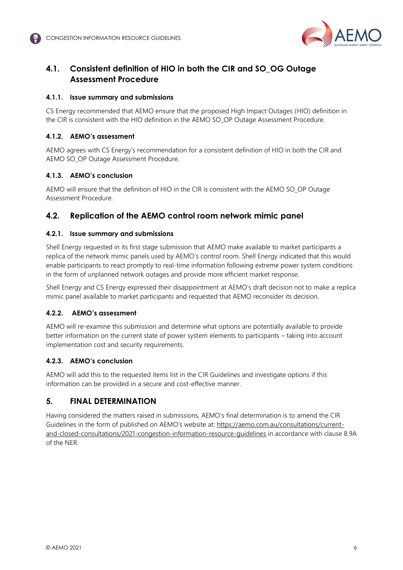

## <span id="page-5-0"></span>**4.1. Consistent definition of HIO in both the CIR and SO\_OG Outage Assessment Procedure**

#### **4.1.1. Issue summary and submissions**

CS Energy recommended that AEMO ensure that the proposed High Impact Outages (HIO) definition in the CIR is consistent with the HIO definition in the AEMO SO\_OP Outage Assessment Procedure.

#### **4.1.2. AEMO's assessment**

AEMO agrees with CS Energy's recommendation for a consistent definition of HIO in both the CIR and AEMO SO\_OP Outage Assessment Procedure.

#### **4.1.3. AEMO's conclusion**

AEMO will ensure that the definition of HIO in the CIR is consistent with the AEMO SO\_OP Outage Assessment Procedure.

## <span id="page-5-1"></span>**4.2. Replication of the AEMO control room network mimic panel**

#### **4.2.1. Issue summary and submissions**

Shell Energy requested in its first stage submission that AEMO make available to market participants a replica of the network mimic panels used by AEMO's control room. Shell Energy indicated that this would enable participants to react promptly to real-time information following extreme power system conditions in the form of unplanned network outages and provide more efficient market response.

Shell Energy and CS Energy expressed their disappointment at AEMO's draft decision not to make a replica mimic panel available to market participants and requested that AEMO reconsider its decision.

#### **4.2.2. AEMO's assessment**

AEMO will re-examine this submission and determine what options are potentially available to provide better information on the current state of power system elements to participants – taking into account implementation cost and security requirements.

### **4.2.3. AEMO's conclusion**

AEMO will add this to the requested items list in the CIR Guidelines and investigate options if this information can be provided in a secure and cost-effective manner.

## <span id="page-5-2"></span>**5. FINAL DETERMINATION**

Having considered the matters raised in submissions, AEMO's final determination is to amend the CIR Guidelines in the form of published on AEMO's website at: [https://aemo.com.au/consultations/current](https://aemo.com.au/consultations/current-and-closed-consultations/2021-congestion-information-resource-guidelines)[and-closed-consultations/2021-congestion-information-resource-guidelines](https://aemo.com.au/consultations/current-and-closed-consultations/2021-congestion-information-resource-guidelines) in accordance with clause 8.9A of the NER.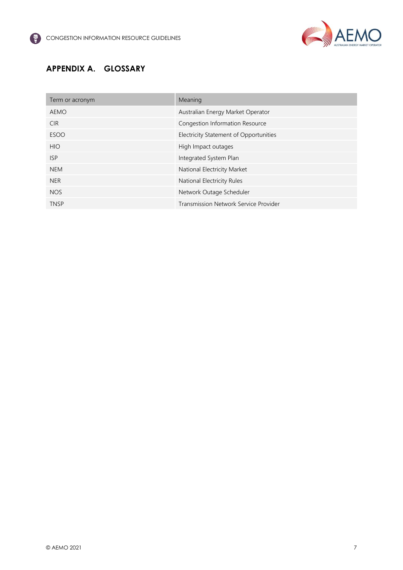

## <span id="page-6-0"></span>**APPENDIX A. GLOSSARY**

| Term or acronym | Meaning                                |
|-----------------|----------------------------------------|
| AEMO            | Australian Energy Market Operator      |
| <b>CIR</b>      | Congestion Information Resource        |
| <b>ESOO</b>     | Electricity Statement of Opportunities |
| <b>HIO</b>      | High Impact outages                    |
| <b>ISP</b>      | Integrated System Plan                 |
| <b>NEM</b>      | National Electricity Market            |
| <b>NER</b>      | National Electricity Rules             |
| <b>NOS</b>      | Network Outage Scheduler               |
| <b>TNSP</b>     | Transmission Network Service Provider  |